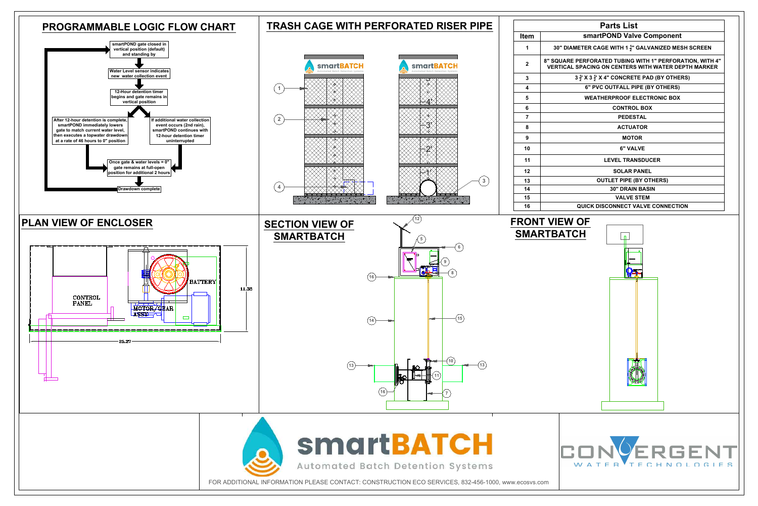

|                         | <b>Parts List</b>                                                                                                      |  |  |  |  |  |  |  |
|-------------------------|------------------------------------------------------------------------------------------------------------------------|--|--|--|--|--|--|--|
| em                      | smartPOND Valve Component                                                                                              |  |  |  |  |  |  |  |
| 1                       | 30" DIAMETER CAGE WITH 1 $\frac{1}{2}$ " GALVANIZED MESH SCREEN                                                        |  |  |  |  |  |  |  |
| $\overline{2}$          | 8" SQUARE PERFORATED TUBING WITH 1" PERFORATION, WITH 4"<br><b>VERTICAL SPACING ON CENTERS WITH WATER DEPTH MARKER</b> |  |  |  |  |  |  |  |
| $\mathbf{3}$            | $3\frac{1}{2}$ ' X 3 $\frac{1}{2}$ ' X 4" CONCRETE PAD (BY OTHERS)                                                     |  |  |  |  |  |  |  |
| $\overline{\mathbf{4}}$ | 6" PVC OUTFALL PIPE (BY OTHERS)                                                                                        |  |  |  |  |  |  |  |
| 5                       | <b>WEATHERPROOF ELECTRONIC BOX</b>                                                                                     |  |  |  |  |  |  |  |
| 6                       | <b>CONTROL BOX</b>                                                                                                     |  |  |  |  |  |  |  |
| $\overline{7}$          | <b>PEDESTAL</b>                                                                                                        |  |  |  |  |  |  |  |
| 8                       | <b>ACTUATOR</b>                                                                                                        |  |  |  |  |  |  |  |
| 9                       | <b>MOTOR</b>                                                                                                           |  |  |  |  |  |  |  |
| 10                      | <b>6" VALVE</b>                                                                                                        |  |  |  |  |  |  |  |
| 11                      | <b>LEVEL TRANSDUCER</b>                                                                                                |  |  |  |  |  |  |  |
| 12                      | <b>SOLAR PANEL</b>                                                                                                     |  |  |  |  |  |  |  |
| 13                      | <b>OUTLET PIPE (BY OTHERS)</b>                                                                                         |  |  |  |  |  |  |  |
| 14                      | <b>30" DRAIN BASIN</b>                                                                                                 |  |  |  |  |  |  |  |
| 15                      | <b>VALVE STEM</b>                                                                                                      |  |  |  |  |  |  |  |
| 16                      | <b>QUICK DISCONNECT VALVE CONNECTION</b>                                                                               |  |  |  |  |  |  |  |
|                         | <b>ONT VIEW OF</b><br><b>MARTBATCH</b>                                                                                 |  |  |  |  |  |  |  |